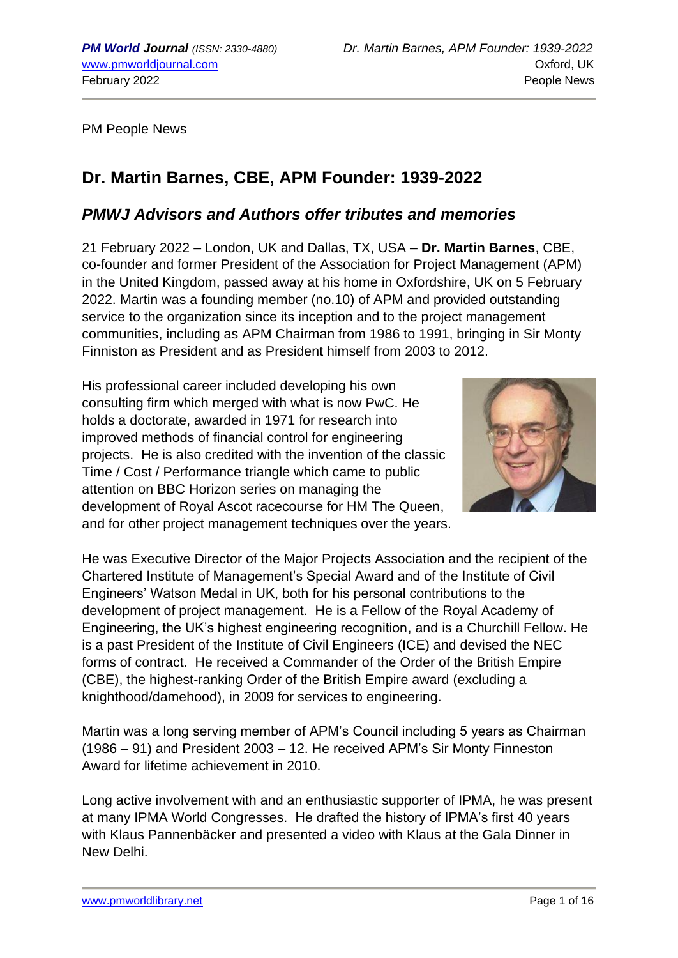PM People News

# **Dr. Martin Barnes, CBE, APM Founder: 1939-2022**

## *PMWJ Advisors and Authors offer tributes and memories*

21 February 2022 – London, UK and Dallas, TX, USA – **Dr. Martin Barnes**, CBE, co-founder and former President of the Association for Project Management (APM) in the United Kingdom, passed away at his home in Oxfordshire, UK on 5 February 2022. Martin was a founding member (no.10) of APM and provided outstanding service to the organization since its inception and to the project management communities, including as APM Chairman from 1986 to 1991, bringing in Sir Monty Finniston as President and as President himself from 2003 to 2012.

His professional career included developing his own consulting firm which merged with what is now PwC. He holds a doctorate, awarded in 1971 for research into improved methods of financial control for engineering projects. He is also credited with the invention of the classic Time / Cost / Performance triangle which came to public attention on BBC Horizon series on managing the development of Royal Ascot racecourse for HM The Queen, and for other project management techniques over the years.



He was Executive Director of the Major Projects Association and the recipient of the Chartered Institute of Management's Special Award and of the Institute of Civil Engineers' Watson Medal in UK, both for his personal contributions to the development of project management. He is a Fellow of the Royal Academy of Engineering, the UK's highest engineering recognition, and is a Churchill Fellow. He is a past President of the Institute of Civil Engineers (ICE) and devised the NEC forms of contract. He received a Commander of the Order of the British Empire (CBE), the highest-ranking Order of the British Empire award (excluding a knighthood/damehood), in 2009 for services to engineering.

Martin was a long serving member of APM's Council including 5 years as Chairman (1986 – 91) and President 2003 – 12. He received APM's Sir Monty Finneston Award for lifetime achievement in 2010.

Long active involvement with and an enthusiastic supporter of IPMA, he was present at many IPMA World Congresses. He drafted the history of IPMA's first 40 years with Klaus Pannenbäcker and presented a video with Klaus at the Gala Dinner in New Delhi.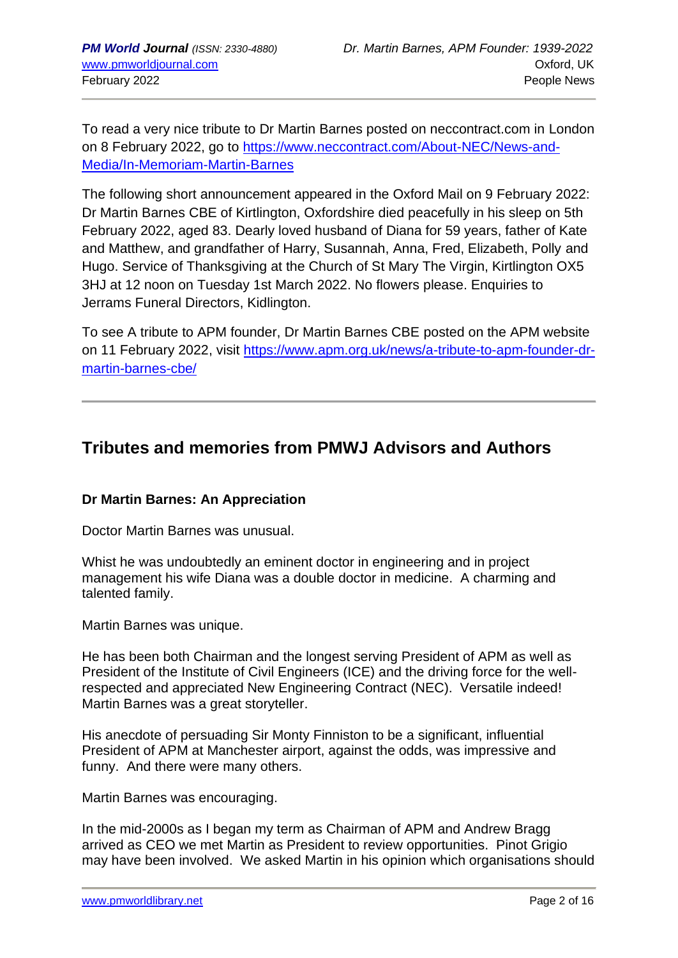To read a very nice tribute to Dr Martin Barnes posted on neccontract.com in London on 8 February 2022, go to [https://www.neccontract.com/About-NEC/News-and-](https://www.neccontract.com/About-NEC/News-and-Media/In-Memoriam-Martin-Barnes)[Media/In-Memoriam-Martin-Barnes](https://www.neccontract.com/About-NEC/News-and-Media/In-Memoriam-Martin-Barnes)

The following short announcement appeared in the Oxford Mail on 9 February 2022: Dr Martin Barnes CBE of Kirtlington, Oxfordshire died peacefully in his sleep on 5th February 2022, aged 83. Dearly loved husband of Diana for 59 years, father of Kate and Matthew, and grandfather of Harry, Susannah, Anna, Fred, Elizabeth, Polly and Hugo. Service of Thanksgiving at the Church of St Mary The Virgin, Kirtlington OX5 3HJ at 12 noon on Tuesday 1st March 2022. No flowers please. Enquiries to Jerrams Funeral Directors, Kidlington.

To see A tribute to APM founder, Dr Martin Barnes CBE posted on the APM website on 11 February 2022, visit [https://www.apm.org.uk/news/a-tribute-to-apm-founder-dr](https://www.apm.org.uk/news/a-tribute-to-apm-founder-dr-martin-barnes-cbe/)[martin-barnes-cbe/](https://www.apm.org.uk/news/a-tribute-to-apm-founder-dr-martin-barnes-cbe/)

## **Tributes and memories from PMWJ Advisors and Authors**

## **Dr Martin Barnes: An Appreciation**

Doctor Martin Barnes was unusual.

Whist he was undoubtedly an eminent doctor in engineering and in project management his wife Diana was a double doctor in medicine. A charming and talented family.

Martin Barnes was unique.

He has been both Chairman and the longest serving President of APM as well as President of the Institute of Civil Engineers (ICE) and the driving force for the wellrespected and appreciated New Engineering Contract (NEC). Versatile indeed! Martin Barnes was a great storyteller.

His anecdote of persuading Sir Monty Finniston to be a significant, influential President of APM at Manchester airport, against the odds, was impressive and funny. And there were many others.

Martin Barnes was encouraging.

In the mid-2000s as I began my term as Chairman of APM and Andrew Bragg arrived as CEO we met Martin as President to review opportunities. Pinot Grigio may have been involved. We asked Martin in his opinion which organisations should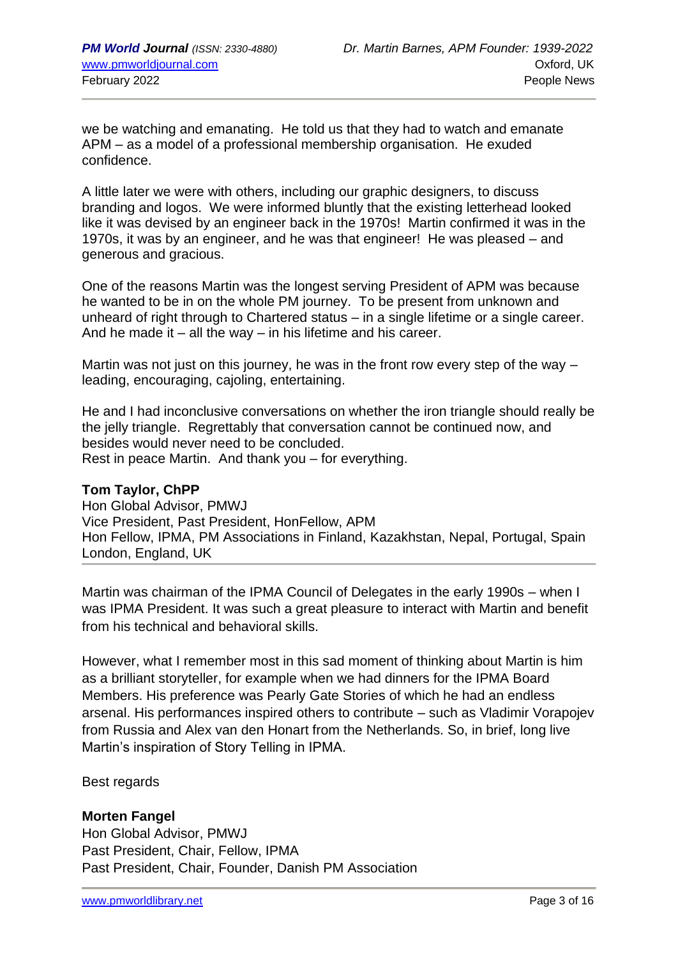we be watching and emanating. He told us that they had to watch and emanate APM – as a model of a professional membership organisation. He exuded confidence.

A little later we were with others, including our graphic designers, to discuss branding and logos. We were informed bluntly that the existing letterhead looked like it was devised by an engineer back in the 1970s! Martin confirmed it was in the 1970s, it was by an engineer, and he was that engineer! He was pleased – and generous and gracious.

One of the reasons Martin was the longest serving President of APM was because he wanted to be in on the whole PM journey. To be present from unknown and unheard of right through to Chartered status – in a single lifetime or a single career. And he made it  $-$  all the way  $-$  in his lifetime and his career.

Martin was not just on this journey, he was in the front row every step of the way – leading, encouraging, cajoling, entertaining.

He and I had inconclusive conversations on whether the iron triangle should really be the jelly triangle. Regrettably that conversation cannot be continued now, and besides would never need to be concluded. Rest in peace Martin. And thank you – for everything.

## **Tom Taylor, ChPP**

Hon Global Advisor, PMWJ Vice President, Past President, HonFellow, APM Hon Fellow, IPMA, PM Associations in Finland, Kazakhstan, Nepal, Portugal, Spain London, England, UK

Martin was chairman of the IPMA Council of Delegates in the early 1990s – when I was IPMA President. It was such a great pleasure to interact with Martin and benefit from his technical and behavioral skills.

However, what I remember most in this sad moment of thinking about Martin is him as a brilliant storyteller, for example when we had dinners for the IPMA Board Members. His preference was Pearly Gate Stories of which he had an endless arsenal. His performances inspired others to contribute – such as Vladimir Vorapojev from Russia and Alex van den Honart from the Netherlands. So, in brief, long live Martin's inspiration of Story Telling in IPMA.

Best regards

## **Morten Fangel**

Hon Global Advisor, PMWJ Past President, Chair, Fellow, IPMA Past President, Chair, Founder, Danish PM Association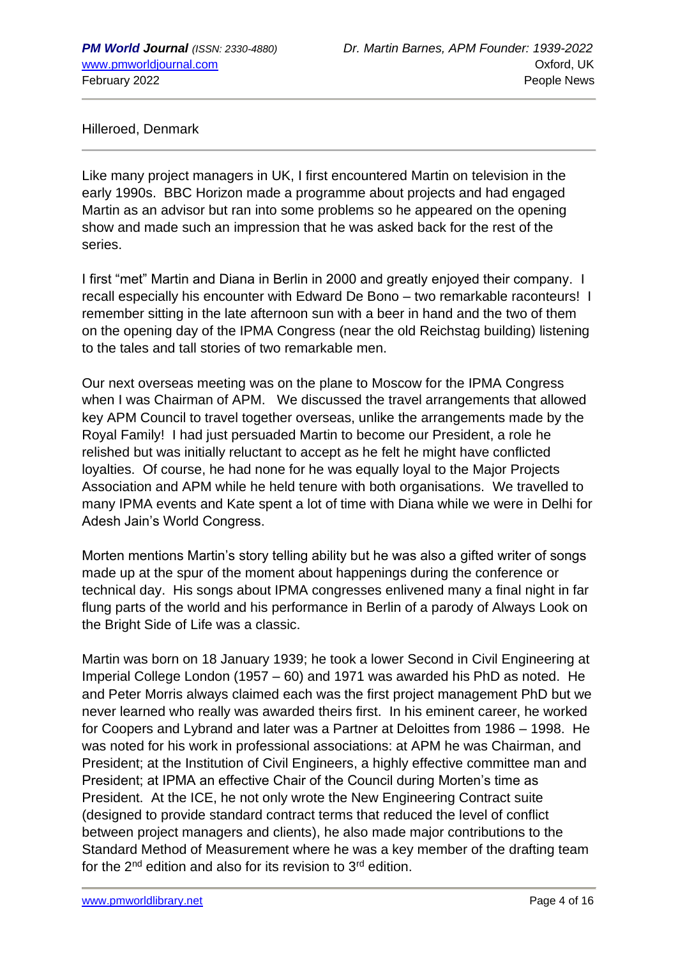Hilleroed, Denmark

Like many project managers in UK, I first encountered Martin on television in the early 1990s. BBC Horizon made a programme about projects and had engaged Martin as an advisor but ran into some problems so he appeared on the opening show and made such an impression that he was asked back for the rest of the series.

I first "met" Martin and Diana in Berlin in 2000 and greatly enjoyed their company. I recall especially his encounter with Edward De Bono – two remarkable raconteurs! I remember sitting in the late afternoon sun with a beer in hand and the two of them on the opening day of the IPMA Congress (near the old Reichstag building) listening to the tales and tall stories of two remarkable men.

Our next overseas meeting was on the plane to Moscow for the IPMA Congress when I was Chairman of APM. We discussed the travel arrangements that allowed key APM Council to travel together overseas, unlike the arrangements made by the Royal Family! I had just persuaded Martin to become our President, a role he relished but was initially reluctant to accept as he felt he might have conflicted loyalties. Of course, he had none for he was equally loyal to the Major Projects Association and APM while he held tenure with both organisations. We travelled to many IPMA events and Kate spent a lot of time with Diana while we were in Delhi for Adesh Jain's World Congress.

Morten mentions Martin's story telling ability but he was also a gifted writer of songs made up at the spur of the moment about happenings during the conference or technical day. His songs about IPMA congresses enlivened many a final night in far flung parts of the world and his performance in Berlin of a parody of Always Look on the Bright Side of Life was a classic.

Martin was born on 18 January 1939; he took a lower Second in Civil Engineering at Imperial College London (1957 – 60) and 1971 was awarded his PhD as noted. He and Peter Morris always claimed each was the first project management PhD but we never learned who really was awarded theirs first. In his eminent career, he worked for Coopers and Lybrand and later was a Partner at Deloittes from 1986 – 1998. He was noted for his work in professional associations: at APM he was Chairman, and President; at the Institution of Civil Engineers, a highly effective committee man and President; at IPMA an effective Chair of the Council during Morten's time as President. At the ICE, he not only wrote the New Engineering Contract suite (designed to provide standard contract terms that reduced the level of conflict between project managers and clients), he also made major contributions to the Standard Method of Measurement where he was a key member of the drafting team for the  $2^{nd}$  edition and also for its revision to  $3^{rd}$  edition.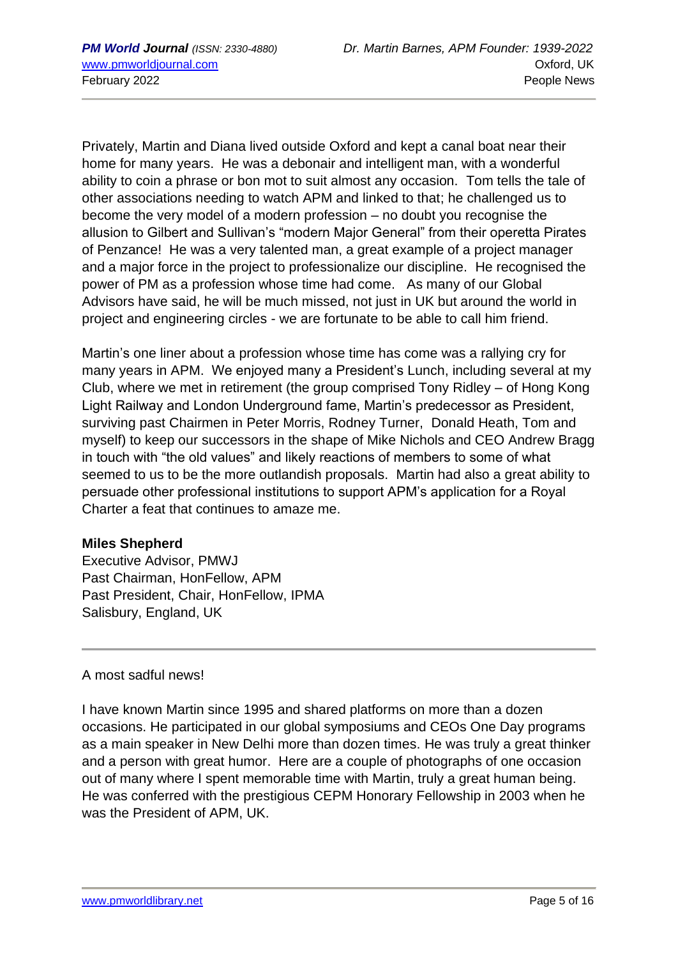Privately, Martin and Diana lived outside Oxford and kept a canal boat near their home for many years. He was a debonair and intelligent man, with a wonderful ability to coin a phrase or bon mot to suit almost any occasion. Tom tells the tale of other associations needing to watch APM and linked to that; he challenged us to become the very model of a modern profession – no doubt you recognise the allusion to Gilbert and Sullivan's "modern Major General" from their operetta Pirates of Penzance! He was a very talented man, a great example of a project manager and a major force in the project to professionalize our discipline. He recognised the power of PM as a profession whose time had come. As many of our Global Advisors have said, he will be much missed, not just in UK but around the world in project and engineering circles - we are fortunate to be able to call him friend.

Martin's one liner about a profession whose time has come was a rallying cry for many years in APM. We enjoyed many a President's Lunch, including several at my Club, where we met in retirement (the group comprised Tony Ridley – of Hong Kong Light Railway and London Underground fame, Martin's predecessor as President, surviving past Chairmen in Peter Morris, Rodney Turner, Donald Heath, Tom and myself) to keep our successors in the shape of Mike Nichols and CEO Andrew Bragg in touch with "the old values" and likely reactions of members to some of what seemed to us to be the more outlandish proposals. Martin had also a great ability to persuade other professional institutions to support APM's application for a Royal Charter a feat that continues to amaze me.

## **Miles Shepherd**

Executive Advisor, PMWJ Past Chairman, HonFellow, APM Past President, Chair, HonFellow, IPMA Salisbury, England, UK

A most sadful news!

I have known Martin since 1995 and shared platforms on more than a dozen occasions. He participated in our global symposiums and CEOs One Day programs as a main speaker in New Delhi more than dozen times. He was truly a great thinker and a person with great humor. Here are a couple of photographs of one occasion out of many where I spent memorable time with Martin, truly a great human being. He was conferred with the prestigious CEPM Honorary Fellowship in 2003 when he was the President of APM, UK.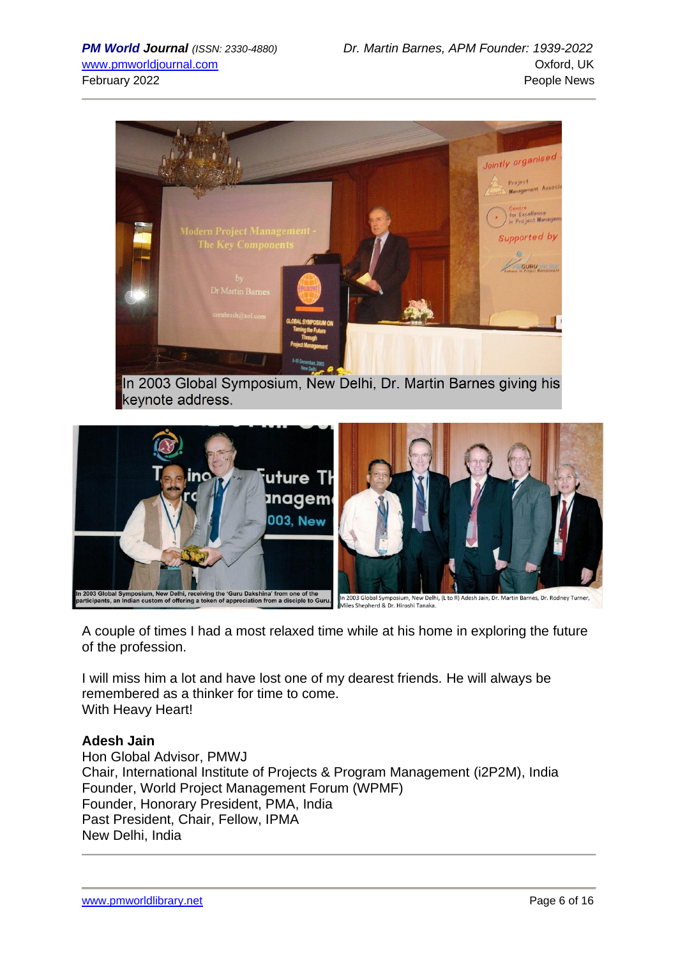

In 2003 Global Symposium, New Delhi, Dr. Martin Barnes giving his keynote address.



A couple of times I had a most relaxed time while at his home in exploring the future of the profession.

I will miss him a lot and have lost one of my dearest friends. He will always be remembered as a thinker for time to come. With Heavy Heart!

## **Adesh Jain**

Hon Global Advisor, PMWJ Chair, International Institute of Projects & Program Management (i2P2M), India Founder, World Project Management Forum (WPMF) Founder, Honorary President, PMA, India Past President, Chair, Fellow, IPMA New Delhi, India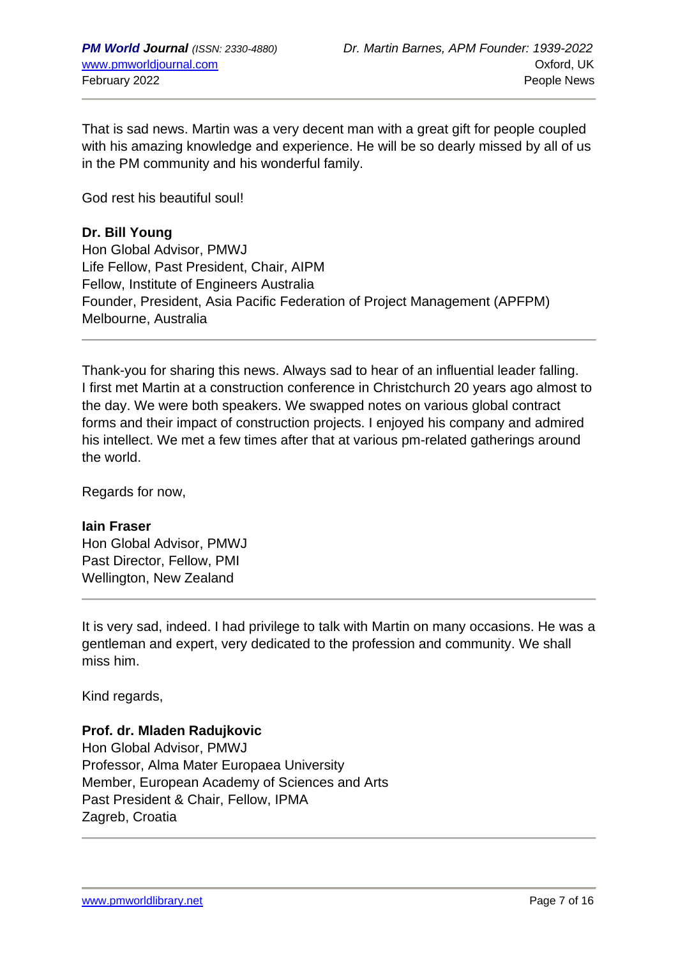That is sad news. Martin was a very decent man with a great gift for people coupled with his amazing knowledge and experience. He will be so dearly missed by all of us in the PM community and his wonderful family.

God rest his beautiful soul!

## **Dr. Bill Young**

Hon Global Advisor, PMWJ Life Fellow, Past President, Chair, AIPM Fellow, Institute of Engineers Australia Founder, President, Asia Pacific Federation of Project Management (APFPM) Melbourne, Australia

Thank-you for sharing this news. Always sad to hear of an influential leader falling. I first met Martin at a construction conference in Christchurch 20 years ago almost to the day. We were both speakers. We swapped notes on various global contract forms and their impact of construction projects. I enjoyed his company and admired his intellect. We met a few times after that at various pm-related gatherings around the world.

Regards for now,

#### **Iain Fraser**

Hon Global Advisor, PMWJ Past Director, Fellow, PMI Wellington, New Zealand

It is very sad, indeed. I had privilege to talk with Martin on many occasions. He was a gentleman and expert, very dedicated to the profession and community. We shall miss him.

Kind regards,

## **Prof. dr. Mladen Radujkovic**

Hon Global Advisor, PMWJ Professor, Alma Mater Europaea University Member, European Academy of Sciences and Arts Past President & Chair, Fellow, IPMA Zagreb, Croatia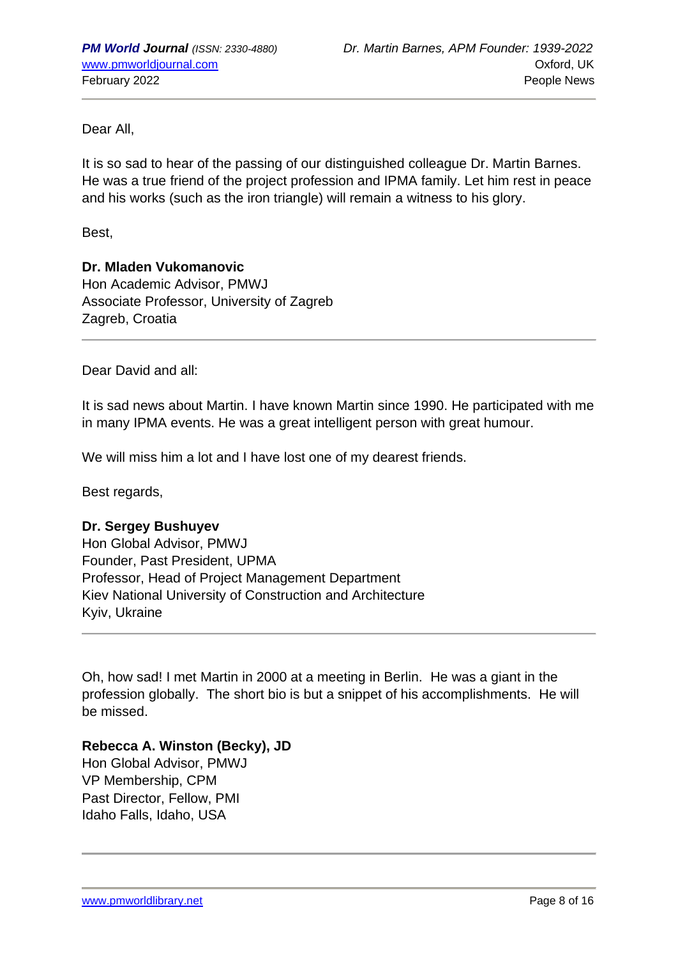Dear All,

It is so sad to hear of the passing of our distinguished colleague Dr. Martin Barnes. He was a true friend of the project profession and IPMA family. Let him rest in peace and his works (such as the iron triangle) will remain a witness to his glory.

Best,

## **Dr. Mladen Vukomanovic**

Hon Academic Advisor, PMWJ Associate Professor, University of Zagreb Zagreb, Croatia

Dear David and all:

It is sad news about Martin. I have known Martin since 1990. He participated with me in many IPMA events. He was a great intelligent person with great humour.

We will miss him a lot and I have lost one of my dearest friends.

Best regards,

## **Dr. Sergey Bushuyev**

Hon Global Advisor, PMWJ Founder, Past President, UPMA Professor, Head of Project Management Department Kiev National University of Construction and Architecture Kyiv, Ukraine

Oh, how sad! I met Martin in 2000 at a meeting in Berlin. He was a giant in the profession globally. The short bio is but a snippet of his accomplishments. He will be missed.

## **Rebecca A. Winston (Becky), JD**

Hon Global Advisor, PMWJ VP Membership, CPM Past Director, Fellow, PMI Idaho Falls, Idaho, USA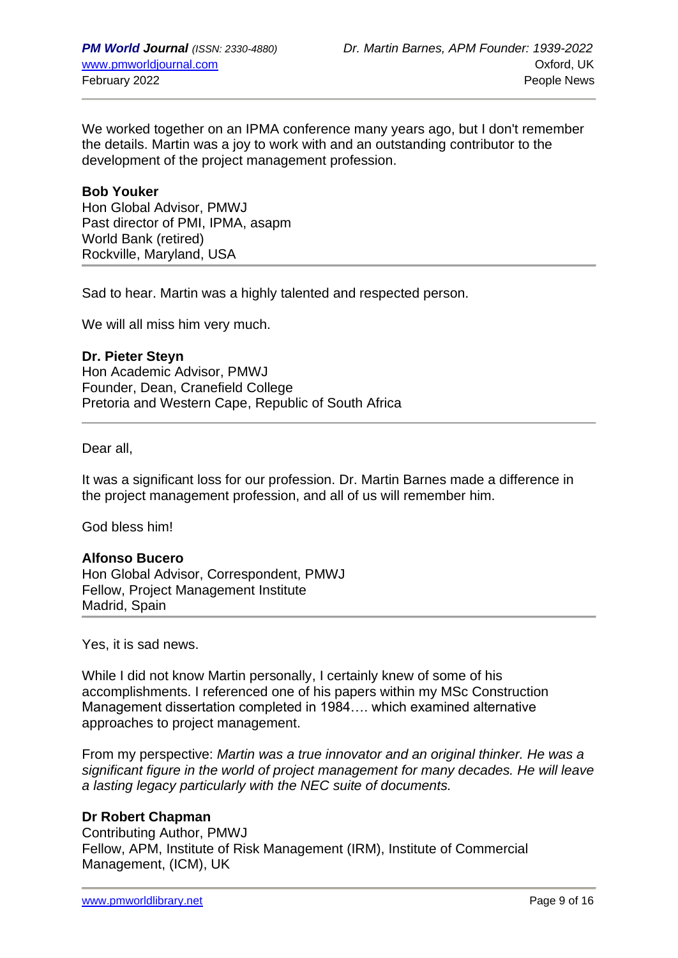We worked together on an IPMA conference many years ago, but I don't remember the details. Martin was a joy to work with and an outstanding contributor to the development of the project management profession.

#### **Bob Youker**

Hon Global Advisor, PMWJ Past director of PMI, IPMA, asapm World Bank (retired) Rockville, Maryland, USA

Sad to hear. Martin was a highly talented and respected person.

We will all miss him very much.

**Dr. Pieter Steyn** Hon Academic Advisor, PMWJ Founder, Dean, Cranefield College Pretoria and Western Cape, Republic of South Africa

Dear all,

It was a significant loss for our profession. Dr. Martin Barnes made a difference in the project management profession, and all of us will remember him.

God bless him!

#### **Alfonso Bucero**

Hon Global Advisor, Correspondent, PMWJ Fellow, Project Management Institute Madrid, Spain

Yes, it is sad news.

While I did not know Martin personally, I certainly knew of some of his accomplishments. I referenced one of his papers within my MSc Construction Management dissertation completed in 1984…. which examined alternative approaches to project management.

From my perspective: *Martin was a true innovator and an original thinker. He was a significant figure in the world of project management for many decades. He will leave a lasting legacy particularly with the NEC suite of documents.*

#### **Dr Robert Chapman**

Contributing Author, PMWJ Fellow, APM, Institute of Risk Management (IRM), Institute of Commercial Management, (ICM), UK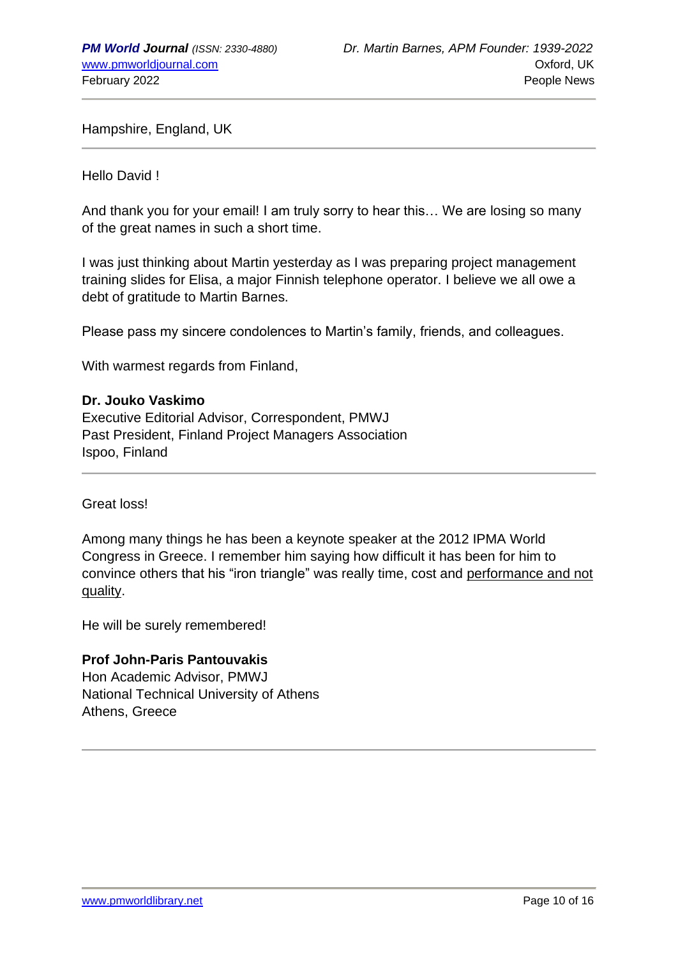Hampshire, England, UK

Hello David !

And thank you for your email! I am truly sorry to hear this… We are losing so many of the great names in such a short time.

I was just thinking about Martin yesterday as I was preparing project management training slides for Elisa, a major Finnish telephone operator. I believe we all owe a debt of gratitude to Martin Barnes.

Please pass my sincere condolences to Martin's family, friends, and colleagues.

With warmest regards from Finland,

#### **Dr. Jouko Vaskimo**

Executive Editorial Advisor, Correspondent, PMWJ Past President, Finland Project Managers Association Ispoo, Finland

Great loss!

Among many things he has been a keynote speaker at the 2012 IPMA World Congress in Greece. I remember him saying how difficult it has been for him to convince others that his "iron triangle" was really time, cost and performance and not quality.

He will be surely remembered!

#### **Prof John-Paris Pantouvakis**

Hon Academic Advisor, PMWJ National Technical University of Athens Athens, Greece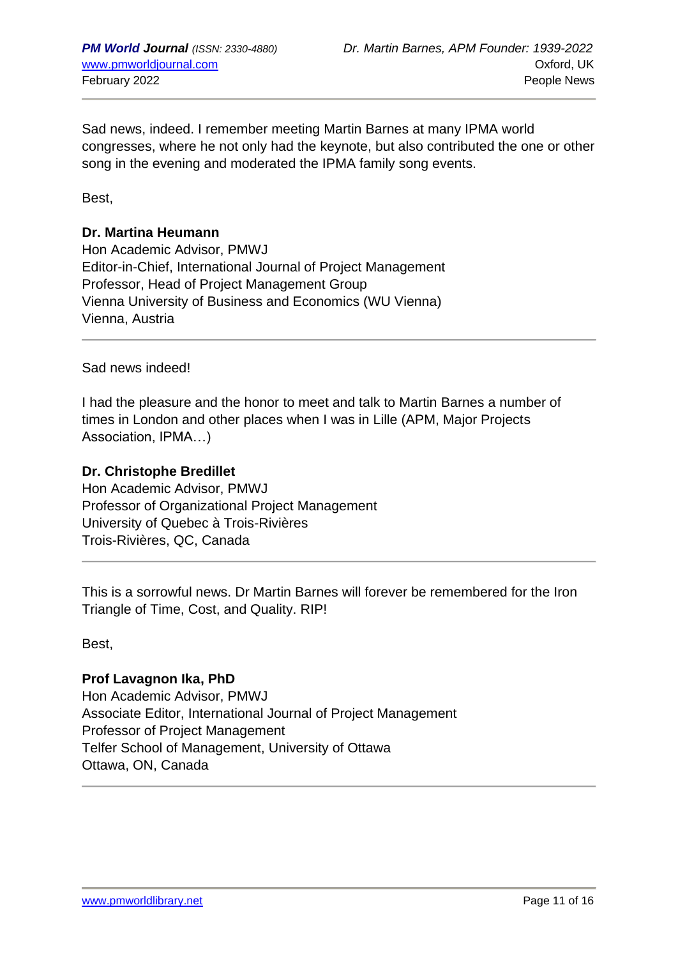Sad news, indeed. I remember meeting Martin Barnes at many IPMA world congresses, where he not only had the keynote, but also contributed the one or other song in the evening and moderated the IPMA family song events.

Best,

#### **Dr. Martina Heumann**

Hon Academic Advisor, PMWJ Editor-in-Chief, International Journal of Project Management Professor, Head of Project Management Group Vienna University of Business and Economics (WU Vienna) Vienna, Austria

Sad news indeed!

I had the pleasure and the honor to meet and talk to Martin Barnes a number of times in London and other places when I was in Lille (APM, Major Projects Association, IPMA…)

#### **Dr. Christophe Bredillet**

Hon Academic Advisor, PMWJ Professor of Organizational Project Management University of Quebec à Trois-Rivières Trois-Rivières, QC, Canada

This is a sorrowful news. Dr Martin Barnes will forever be remembered for the Iron Triangle of Time, Cost, and Quality. RIP!

Best,

## **Prof Lavagnon Ika, PhD**

Hon Academic Advisor, PMWJ Associate Editor, International Journal of Project Management Professor of Project Management Telfer School of Management, University of Ottawa Ottawa, ON, Canada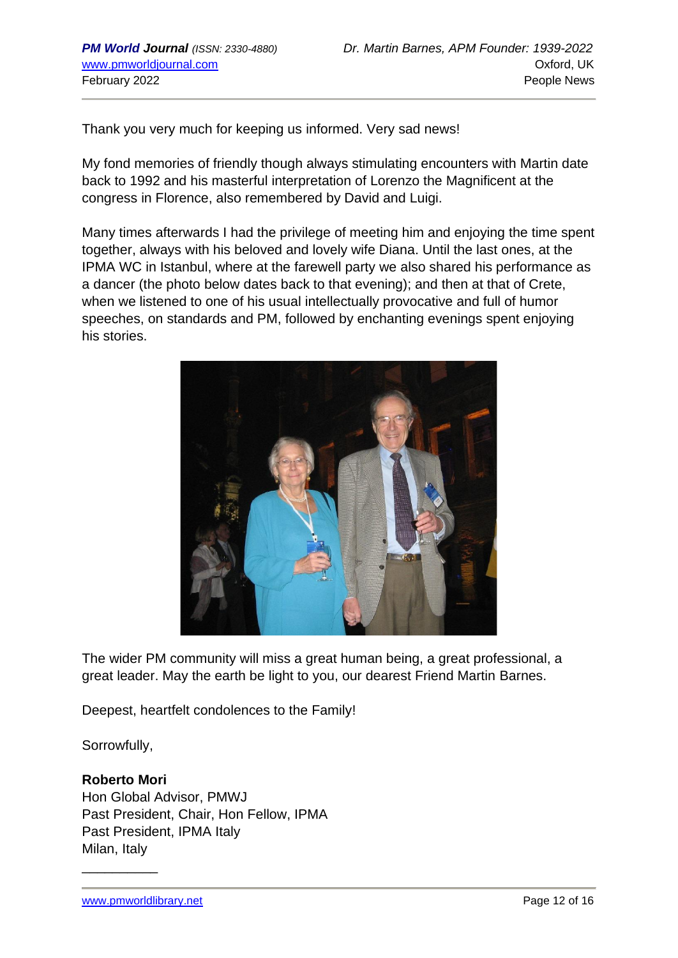Thank you very much for keeping us informed. Very sad news!

My fond memories of friendly though always stimulating encounters with Martin date back to 1992 and his masterful interpretation of Lorenzo the Magnificent at the congress in Florence, also remembered by David and Luigi.

Many times afterwards I had the privilege of meeting him and enjoying the time spent together, always with his beloved and lovely wife Diana. Until the last ones, at the IPMA WC in Istanbul, where at the farewell party we also shared his performance as a dancer (the photo below dates back to that evening); and then at that of Crete, when we listened to one of his usual intellectually provocative and full of humor speeches, on standards and PM, followed by enchanting evenings spent enjoying his stories.



The wider PM community will miss a great human being, a great professional, a great leader. May the earth be light to you, our dearest Friend Martin Barnes.

Deepest, heartfelt condolences to the Family!

Sorrowfully,

## **Roberto Mori**

 $\overline{\phantom{a}}$  , where  $\overline{\phantom{a}}$ 

Hon Global Advisor, PMWJ Past President, Chair, Hon Fellow, IPMA Past President, IPMA Italy Milan, Italy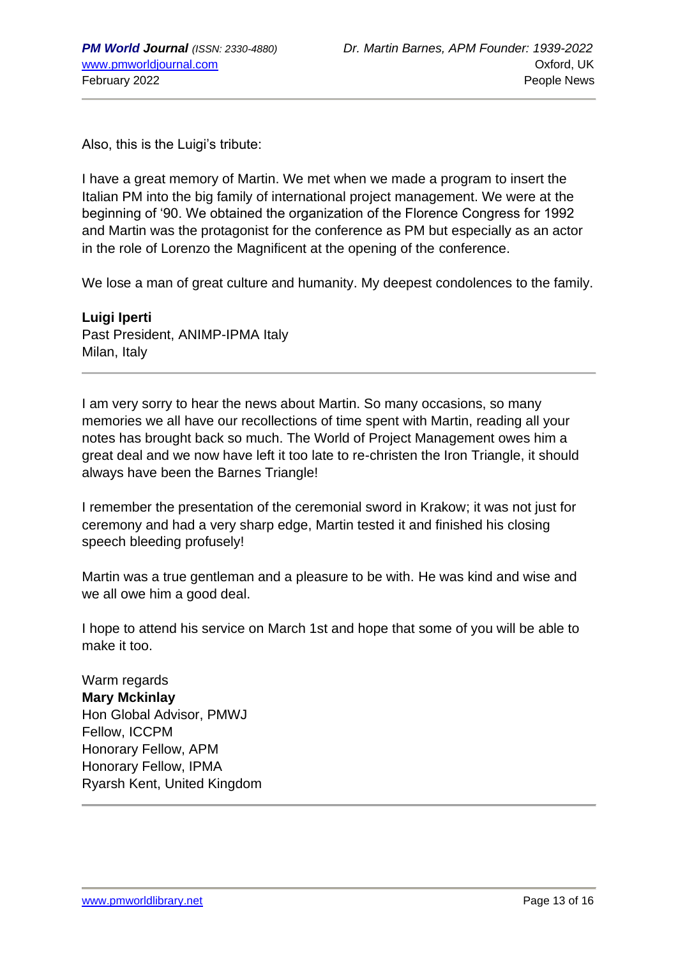Also, this is the Luigi's tribute:

I have a great memory of Martin. We met when we made a program to insert the Italian PM into the big family of international project management. We were at the beginning of '90. We obtained the organization of the Florence Congress for 1992 and Martin was the protagonist for the conference as PM but especially as an actor in the role of Lorenzo the Magnificent at the opening of the conference.

We lose a man of great culture and humanity. My deepest condolences to the family.

**Luigi Iperti** Past President, ANIMP-IPMA Italy Milan, Italy

I am very sorry to hear the news about Martin. So many occasions, so many memories we all have our recollections of time spent with Martin, reading all your notes has brought back so much. The World of Project Management owes him a great deal and we now have left it too late to re-christen the Iron Triangle, it should always have been the Barnes Triangle!

I remember the presentation of the ceremonial sword in Krakow; it was not just for ceremony and had a very sharp edge, Martin tested it and finished his closing speech bleeding profusely!

Martin was a true gentleman and a pleasure to be with. He was kind and wise and we all owe him a good deal.

I hope to attend his service on March 1st and hope that some of you will be able to make it too.

Warm regards **Mary Mckinlay** Hon Global Advisor, PMWJ Fellow, ICCPM Honorary Fellow, APM Honorary Fellow, IPMA Ryarsh Kent, United Kingdom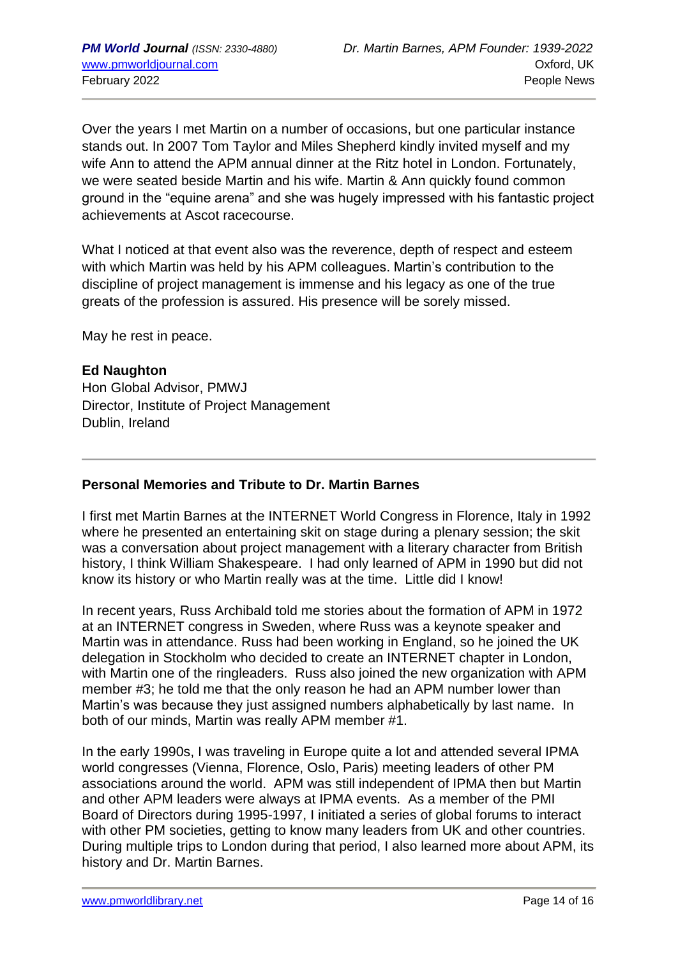Over the years I met Martin on a number of occasions, but one particular instance stands out. In 2007 Tom Taylor and Miles Shepherd kindly invited myself and my wife Ann to attend the APM annual dinner at the Ritz hotel in London. Fortunately, we were seated beside Martin and his wife. Martin & Ann quickly found common ground in the "equine arena" and she was hugely impressed with his fantastic project achievements at Ascot racecourse.

What I noticed at that event also was the reverence, depth of respect and esteem with which Martin was held by his APM colleagues. Martin's contribution to the discipline of project management is immense and his legacy as one of the true greats of the profession is assured. His presence will be sorely missed.

May he rest in peace.

## **Ed Naughton**

Hon Global Advisor, PMWJ Director, Institute of Project Management Dublin, Ireland

## **Personal Memories and Tribute to Dr. Martin Barnes**

I first met Martin Barnes at the INTERNET World Congress in Florence, Italy in 1992 where he presented an entertaining skit on stage during a plenary session; the skit was a conversation about project management with a literary character from British history, I think William Shakespeare. I had only learned of APM in 1990 but did not know its history or who Martin really was at the time. Little did I know!

In recent years, Russ Archibald told me stories about the formation of APM in 1972 at an INTERNET congress in Sweden, where Russ was a keynote speaker and Martin was in attendance. Russ had been working in England, so he joined the UK delegation in Stockholm who decided to create an INTERNET chapter in London, with Martin one of the ringleaders. Russ also joined the new organization with APM member #3; he told me that the only reason he had an APM number lower than Martin's was because they just assigned numbers alphabetically by last name. In both of our minds, Martin was really APM member #1.

In the early 1990s, I was traveling in Europe quite a lot and attended several IPMA world congresses (Vienna, Florence, Oslo, Paris) meeting leaders of other PM associations around the world. APM was still independent of IPMA then but Martin and other APM leaders were always at IPMA events. As a member of the PMI Board of Directors during 1995-1997, I initiated a series of global forums to interact with other PM societies, getting to know many leaders from UK and other countries. During multiple trips to London during that period, I also learned more about APM, its history and Dr. Martin Barnes.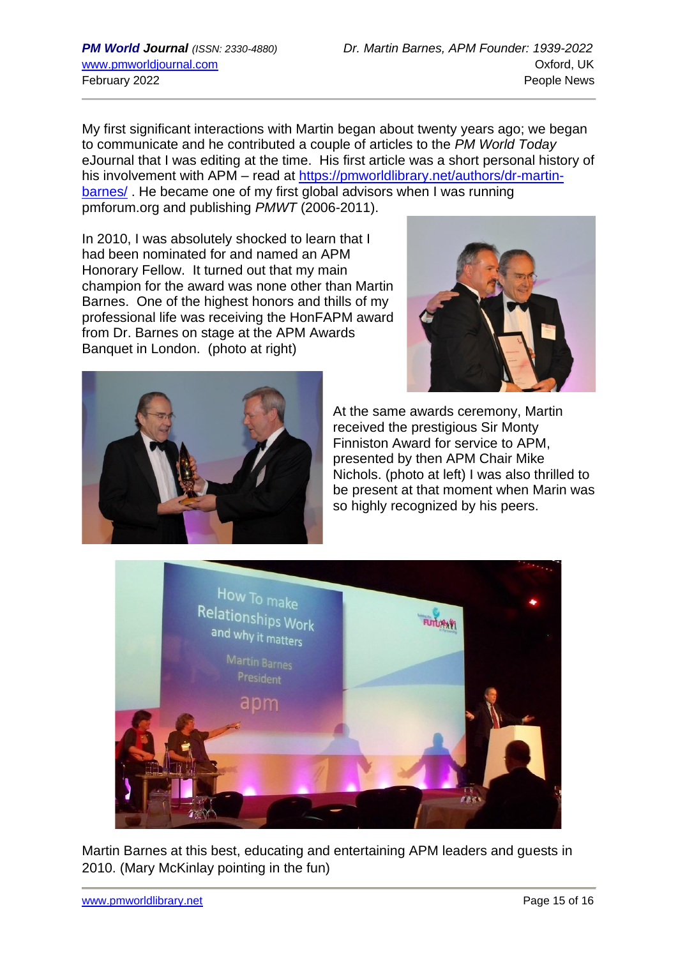My first significant interactions with Martin began about twenty years ago; we began to communicate and he contributed a couple of articles to the *PM World Today* eJournal that I was editing at the time. His first article was a short personal history of his involvement with APM – read at [https://pmworldlibrary.net/authors/dr-martin](https://pmworldlibrary.net/authors/dr-martin-barnes/)[barnes/](https://pmworldlibrary.net/authors/dr-martin-barnes/) . He became one of my first global advisors when I was running pmforum.org and publishing *PMWT* (2006-2011).

In 2010, I was absolutely shocked to learn that I had been nominated for and named an APM Honorary Fellow. It turned out that my main champion for the award was none other than Martin Barnes. One of the highest honors and thills of my professional life was receiving the HonFAPM award from Dr. Barnes on stage at the APM Awards Banquet in London. (photo at right)





At the same awards ceremony, Martin received the prestigious Sir Monty Finniston Award for service to APM, presented by then APM Chair Mike Nichols. (photo at left) I was also thrilled to be present at that moment when Marin was so highly recognized by his peers.



Martin Barnes at this best, educating and entertaining APM leaders and guests in 2010. (Mary McKinlay pointing in the fun)